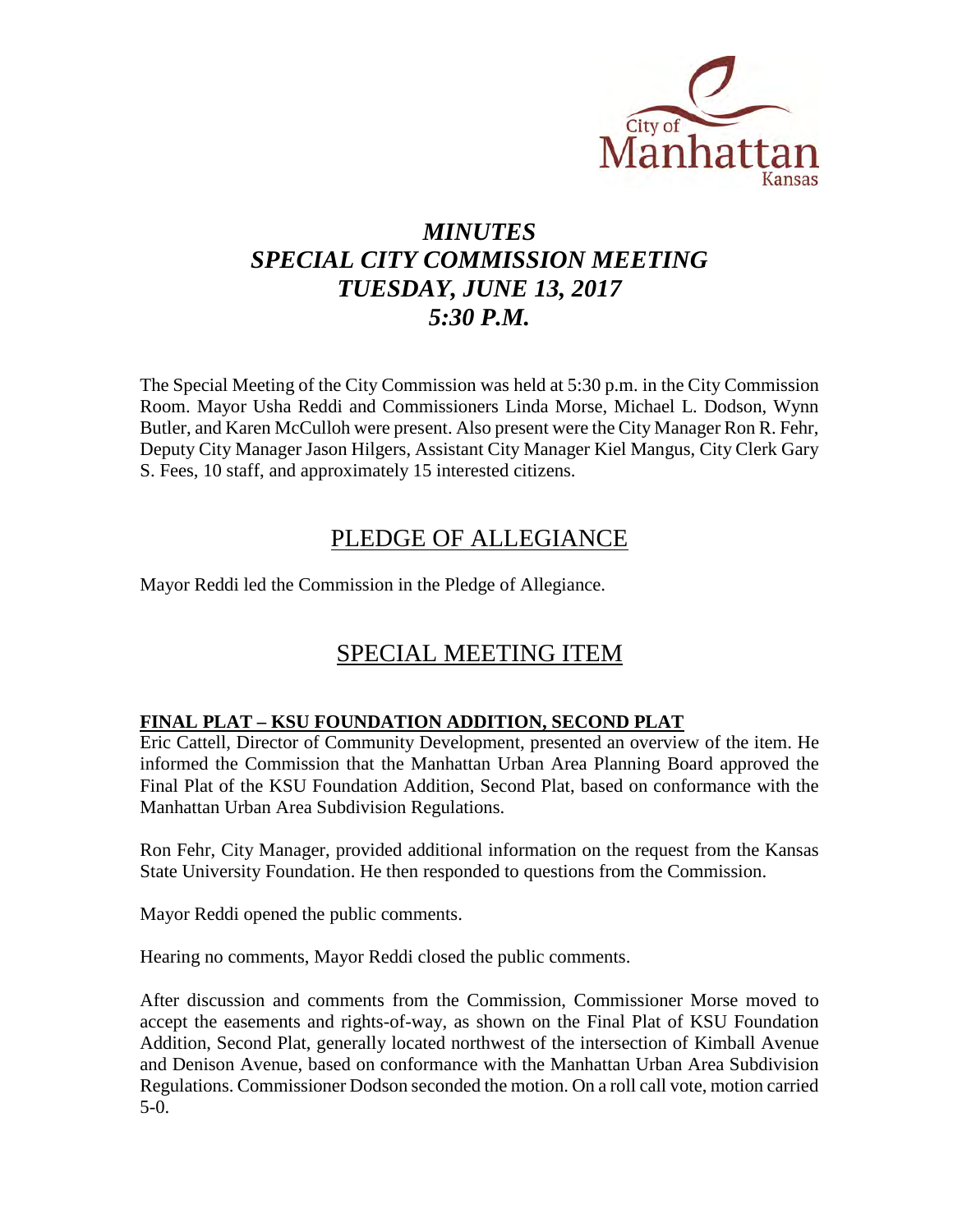

# *MINUTES SPECIAL CITY COMMISSION MEETING TUESDAY, JUNE 13, 2017 5:30 P.M.*

The Special Meeting of the City Commission was held at 5:30 p.m. in the City Commission Room. Mayor Usha Reddi and Commissioners Linda Morse, Michael L. Dodson, Wynn Butler, and Karen McCulloh were present. Also present were the City Manager Ron R. Fehr, Deputy City Manager Jason Hilgers, Assistant City Manager Kiel Mangus, City Clerk Gary S. Fees, 10 staff, and approximately 15 interested citizens.

## PLEDGE OF ALLEGIANCE

Mayor Reddi led the Commission in the Pledge of Allegiance.

# SPECIAL MEETING ITEM

## **FINAL PLAT – KSU FOUNDATION ADDITION, SECOND PLAT**

Eric Cattell, Director of Community Development, presented an overview of the item. He informed the Commission that the Manhattan Urban Area Planning Board approved the Final Plat of the KSU Foundation Addition, Second Plat, based on conformance with the Manhattan Urban Area Subdivision Regulations.

Ron Fehr, City Manager, provided additional information on the request from the Kansas State University Foundation. He then responded to questions from the Commission.

Mayor Reddi opened the public comments.

Hearing no comments, Mayor Reddi closed the public comments.

After discussion and comments from the Commission, Commissioner Morse moved to accept the easements and rights-of-way, as shown on the Final Plat of KSU Foundation Addition, Second Plat, generally located northwest of the intersection of Kimball Avenue and Denison Avenue, based on conformance with the Manhattan Urban Area Subdivision Regulations. Commissioner Dodson seconded the motion. On a roll call vote, motion carried 5-0.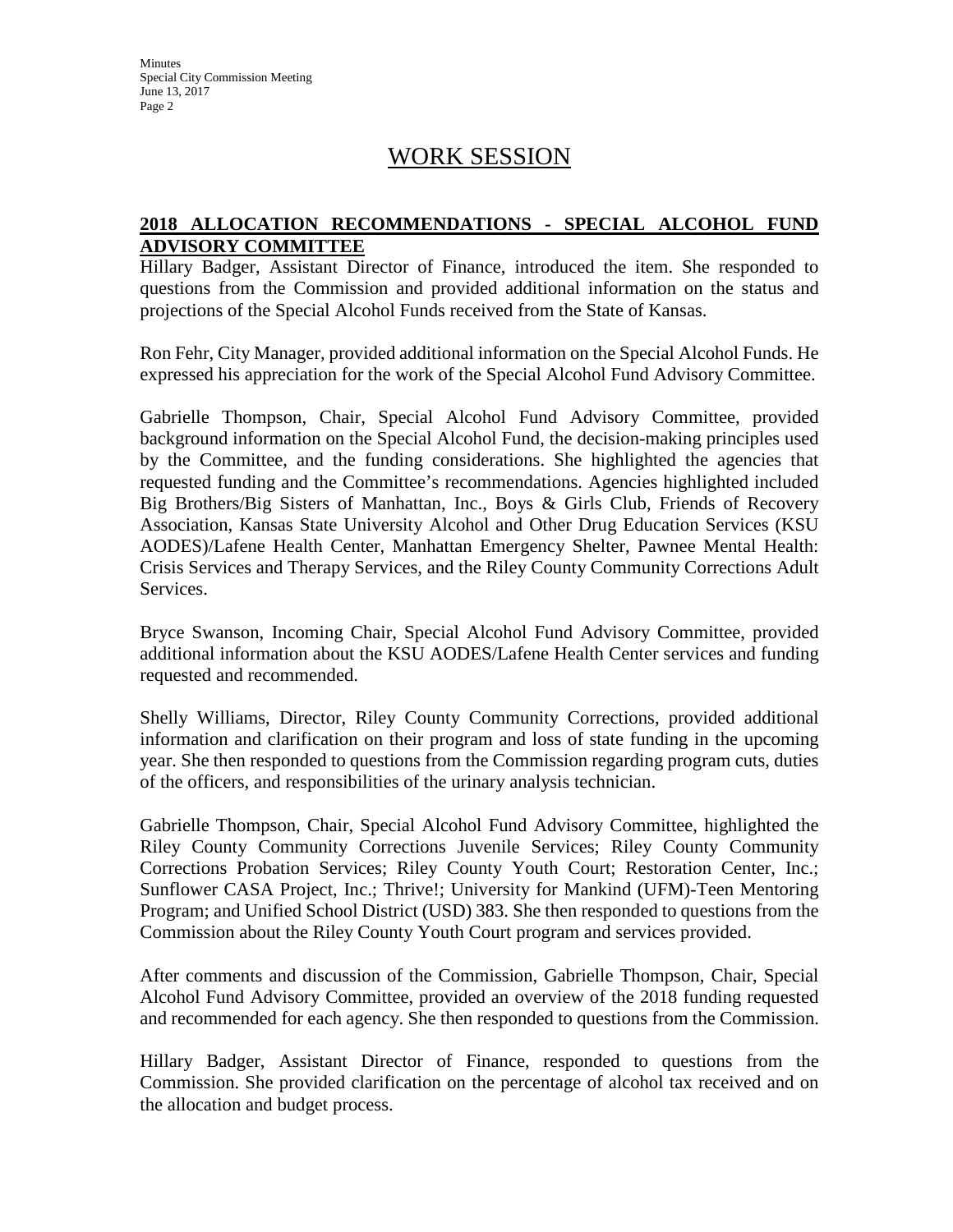## WORK SESSION

#### **2018 ALLOCATION RECOMMENDATIONS - SPECIAL ALCOHOL FUND ADVISORY COMMITTEE**

Hillary Badger, Assistant Director of Finance, introduced the item. She responded to questions from the Commission and provided additional information on the status and projections of the Special Alcohol Funds received from the State of Kansas.

Ron Fehr, City Manager, provided additional information on the Special Alcohol Funds. He expressed his appreciation for the work of the Special Alcohol Fund Advisory Committee.

Gabrielle Thompson, Chair, Special Alcohol Fund Advisory Committee, provided background information on the Special Alcohol Fund, the decision-making principles used by the Committee, and the funding considerations. She highlighted the agencies that requested funding and the Committee's recommendations. Agencies highlighted included Big Brothers/Big Sisters of Manhattan, Inc., Boys & Girls Club, Friends of Recovery Association, Kansas State University Alcohol and Other Drug Education Services (KSU AODES)/Lafene Health Center, Manhattan Emergency Shelter, Pawnee Mental Health: Crisis Services and Therapy Services, and the Riley County Community Corrections Adult Services.

Bryce Swanson, Incoming Chair, Special Alcohol Fund Advisory Committee, provided additional information about the KSU AODES/Lafene Health Center services and funding requested and recommended.

Shelly Williams, Director, Riley County Community Corrections, provided additional information and clarification on their program and loss of state funding in the upcoming year. She then responded to questions from the Commission regarding program cuts, duties of the officers, and responsibilities of the urinary analysis technician.

Gabrielle Thompson, Chair, Special Alcohol Fund Advisory Committee, highlighted the Riley County Community Corrections Juvenile Services; Riley County Community Corrections Probation Services; Riley County Youth Court; Restoration Center, Inc.; Sunflower CASA Project, Inc.; Thrive!; University for Mankind (UFM)-Teen Mentoring Program; and Unified School District (USD) 383. She then responded to questions from the Commission about the Riley County Youth Court program and services provided.

After comments and discussion of the Commission, Gabrielle Thompson, Chair, Special Alcohol Fund Advisory Committee, provided an overview of the 2018 funding requested and recommended for each agency. She then responded to questions from the Commission.

Hillary Badger, Assistant Director of Finance, responded to questions from the Commission. She provided clarification on the percentage of alcohol tax received and on the allocation and budget process.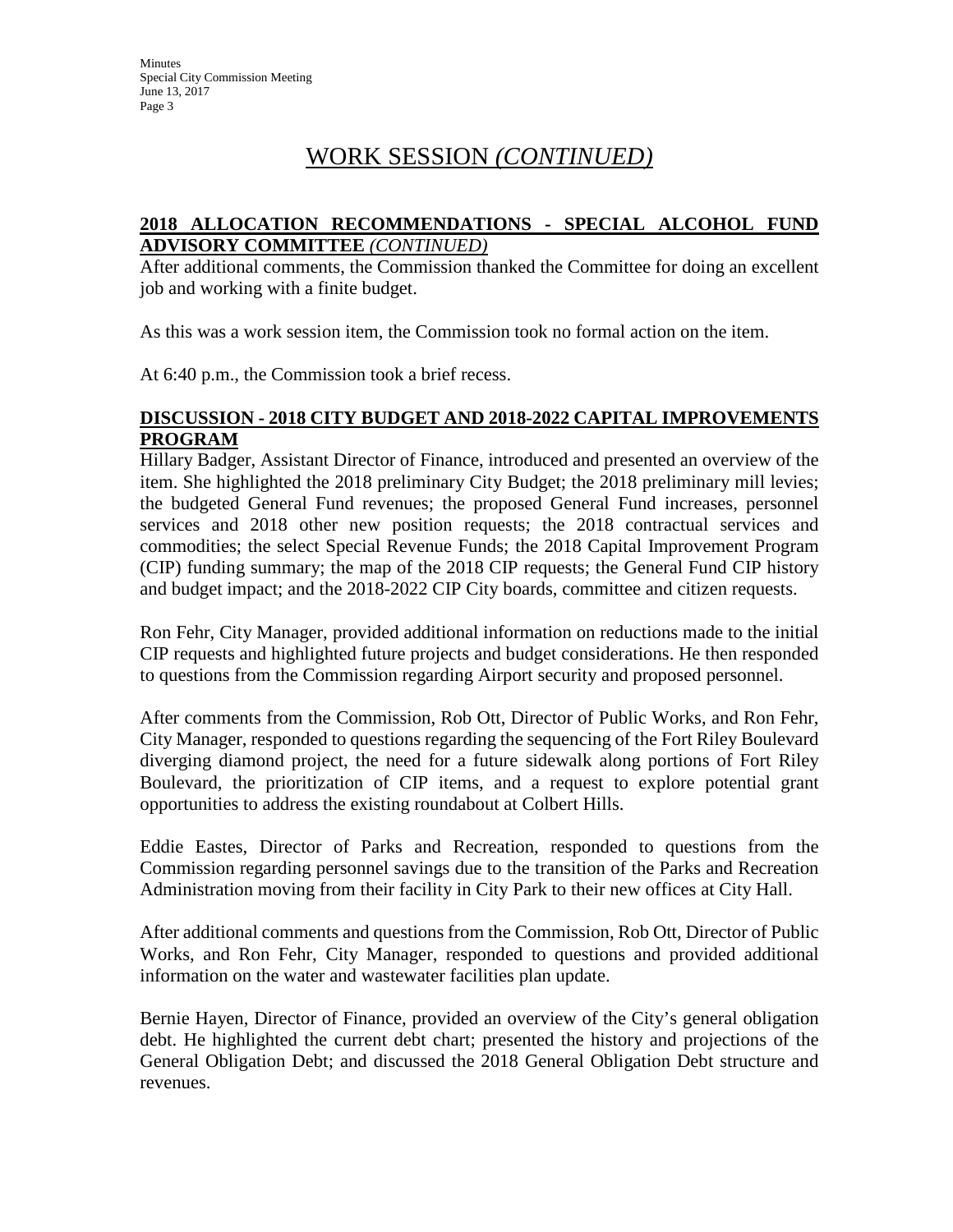# WORK SESSION *(CONTINUED)*

#### **2018 ALLOCATION RECOMMENDATIONS - SPECIAL ALCOHOL FUND ADVISORY COMMITTEE** *(CONTINUED)*

After additional comments, the Commission thanked the Committee for doing an excellent job and working with a finite budget.

As this was a work session item, the Commission took no formal action on the item.

At 6:40 p.m., the Commission took a brief recess.

### **DISCUSSION - 2018 CITY BUDGET AND 2018-2022 CAPITAL IMPROVEMENTS PROGRAM**

Hillary Badger, Assistant Director of Finance, introduced and presented an overview of the item. She highlighted the 2018 preliminary City Budget; the 2018 preliminary mill levies; the budgeted General Fund revenues; the proposed General Fund increases, personnel services and 2018 other new position requests; the 2018 contractual services and commodities; the select Special Revenue Funds; the 2018 Capital Improvement Program (CIP) funding summary; the map of the 2018 CIP requests; the General Fund CIP history and budget impact; and the 2018-2022 CIP City boards, committee and citizen requests.

Ron Fehr, City Manager, provided additional information on reductions made to the initial CIP requests and highlighted future projects and budget considerations. He then responded to questions from the Commission regarding Airport security and proposed personnel.

After comments from the Commission, Rob Ott, Director of Public Works, and Ron Fehr, City Manager, responded to questions regarding the sequencing of the Fort Riley Boulevard diverging diamond project, the need for a future sidewalk along portions of Fort Riley Boulevard, the prioritization of CIP items, and a request to explore potential grant opportunities to address the existing roundabout at Colbert Hills.

Eddie Eastes, Director of Parks and Recreation, responded to questions from the Commission regarding personnel savings due to the transition of the Parks and Recreation Administration moving from their facility in City Park to their new offices at City Hall.

After additional comments and questions from the Commission, Rob Ott, Director of Public Works, and Ron Fehr, City Manager, responded to questions and provided additional information on the water and wastewater facilities plan update.

Bernie Hayen, Director of Finance, provided an overview of the City's general obligation debt. He highlighted the current debt chart; presented the history and projections of the General Obligation Debt; and discussed the 2018 General Obligation Debt structure and revenues.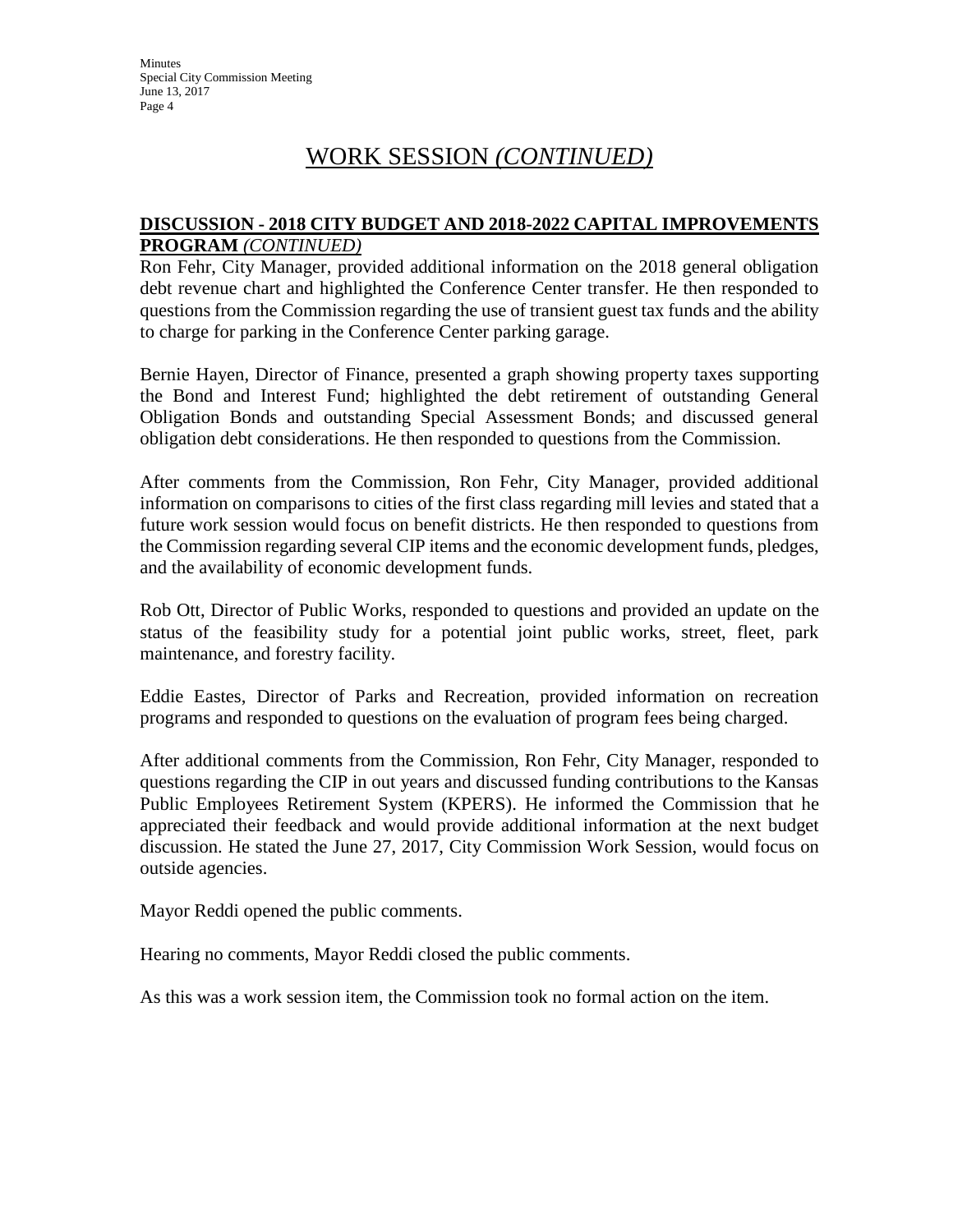## WORK SESSION *(CONTINUED)*

#### **DISCUSSION - 2018 CITY BUDGET AND 2018-2022 CAPITAL IMPROVEMENTS PROGRAM** *(CONTINUED)*

Ron Fehr, City Manager, provided additional information on the 2018 general obligation debt revenue chart and highlighted the Conference Center transfer. He then responded to questions from the Commission regarding the use of transient guest tax funds and the ability to charge for parking in the Conference Center parking garage.

Bernie Hayen, Director of Finance, presented a graph showing property taxes supporting the Bond and Interest Fund; highlighted the debt retirement of outstanding General Obligation Bonds and outstanding Special Assessment Bonds; and discussed general obligation debt considerations. He then responded to questions from the Commission.

After comments from the Commission, Ron Fehr, City Manager, provided additional information on comparisons to cities of the first class regarding mill levies and stated that a future work session would focus on benefit districts. He then responded to questions from the Commission regarding several CIP items and the economic development funds, pledges, and the availability of economic development funds.

Rob Ott, Director of Public Works, responded to questions and provided an update on the status of the feasibility study for a potential joint public works, street, fleet, park maintenance, and forestry facility.

Eddie Eastes, Director of Parks and Recreation, provided information on recreation programs and responded to questions on the evaluation of program fees being charged.

After additional comments from the Commission, Ron Fehr, City Manager, responded to questions regarding the CIP in out years and discussed funding contributions to the Kansas Public Employees Retirement System (KPERS). He informed the Commission that he appreciated their feedback and would provide additional information at the next budget discussion. He stated the June 27, 2017, City Commission Work Session, would focus on outside agencies.

Mayor Reddi opened the public comments.

Hearing no comments, Mayor Reddi closed the public comments.

As this was a work session item, the Commission took no formal action on the item.